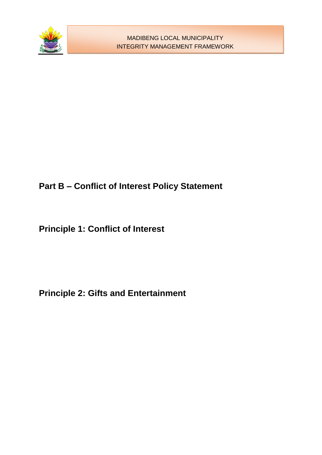

# **Part B – Conflict of Interest Policy Statement**

**Principle 1: Conflict of Interest** 

**Principle 2: Gifts and Entertainment**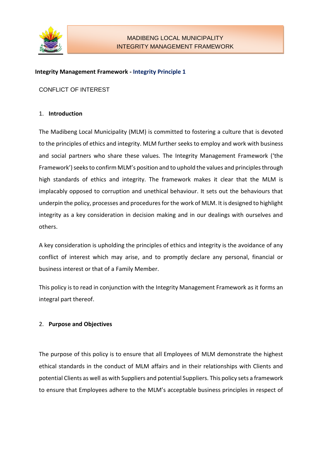

#### **Integrity Management Framework - Integrity Principle 1**

CONFLICT OF INTEREST

### 1. **Introduction**

The Madibeng Local Municipality (MLM) is committed to fostering a culture that is devoted to the principles of ethics and integrity. MLM further seeks to employ and work with business and social partners who share these values. The Integrity Management Framework ('the Framework') seeks to confirm MLM's position and to uphold the values and principles through high standards of ethics and integrity. The framework makes it clear that the MLM is implacably opposed to corruption and unethical behaviour. It sets out the behaviours that underpin the policy, processes and procedures for the work of MLM. It is designed to highlight integrity as a key consideration in decision making and in our dealings with ourselves and others.

A key consideration is upholding the principles of ethics and integrity is the avoidance of any conflict of interest which may arise, and to promptly declare any personal, financial or business interest or that of a Family Member.

This policy is to read in conjunction with the Integrity Management Framework as it forms an integral part thereof.

# 2. **Purpose and Objectives**

The purpose of this policy is to ensure that all Employees of MLM demonstrate the highest ethical standards in the conduct of MLM affairs and in their relationships with Clients and potential Clients as well as with Suppliers and potential Suppliers. This policy sets a framework to ensure that Employees adhere to the MLM's acceptable business principles in respect of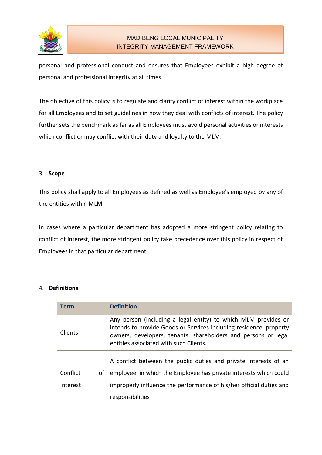

personal and professional conduct and ensures that Employees exhibit a high degree of personal and professional integrity at all times.

The objective of this policy is to regulate and clarify conflict of interest within the workplace for all Employees and to set guidelines in how they deal with conflicts of interest. The policy further sets the benchmark as far as all Employees must avoid personal activities or interests which conflict or may conflict with their duty and loyalty to the MLM.

### 3. **Scope**

This policy shall apply to all Employees as defined as well as Employee's employed by any of the entities within MLM.

In cases where a particular department has adopted a more stringent policy relating to conflict of interest, the more stringent policy take precedence over this policy in respect of Employees in that particular department.

# 4. **Definitions**

| Term           | <b>Definition</b>                                                                                                                                                                                                                                |
|----------------|--------------------------------------------------------------------------------------------------------------------------------------------------------------------------------------------------------------------------------------------------|
| <b>Clients</b> | Any person (including a legal entity) to which MLM provides or<br>intends to provide Goods or Services including residence, property<br>owners, developers, tenants, shareholders and persons or legal<br>entities associated with such Clients. |
|                | A conflict between the public duties and private interests of an                                                                                                                                                                                 |
|                |                                                                                                                                                                                                                                                  |
| Conflict<br>οf | employee, in which the Employee has private interests which could                                                                                                                                                                                |
| Interest       | improperly influence the performance of his/her official duties and                                                                                                                                                                              |
|                | responsibilities                                                                                                                                                                                                                                 |
|                |                                                                                                                                                                                                                                                  |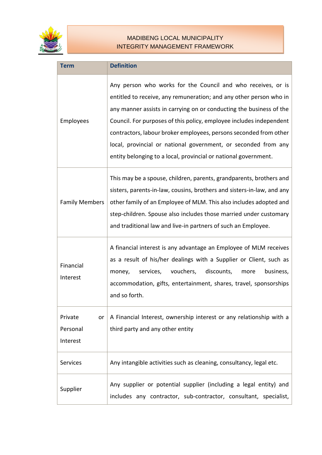

| <b>Term</b>                           | <b>Definition</b>                                                                                                                                                                                                                                                                                                                                                                                                                                                                          |
|---------------------------------------|--------------------------------------------------------------------------------------------------------------------------------------------------------------------------------------------------------------------------------------------------------------------------------------------------------------------------------------------------------------------------------------------------------------------------------------------------------------------------------------------|
| Employees                             | Any person who works for the Council and who receives, or is<br>entitled to receive, any remuneration; and any other person who in<br>any manner assists in carrying on or conducting the business of the<br>Council. For purposes of this policy, employee includes independent<br>contractors, labour broker employees, persons seconded from other<br>local, provincial or national government, or seconded from any<br>entity belonging to a local, provincial or national government. |
| <b>Family Members</b>                 | This may be a spouse, children, parents, grandparents, brothers and<br>sisters, parents-in-law, cousins, brothers and sisters-in-law, and any<br>other family of an Employee of MLM. This also includes adopted and<br>step-children. Spouse also includes those married under customary<br>and traditional law and live-in partners of such an Employee.                                                                                                                                  |
| Financial<br>Interest                 | A financial interest is any advantage an Employee of MLM receives<br>as a result of his/her dealings with a Supplier or Client, such as<br>vouchers,<br>discounts,<br>services,<br>business,<br>money,<br>more<br>accommodation, gifts, entertainment, shares, travel, sponsorships<br>and so forth.                                                                                                                                                                                       |
| Private<br>or<br>Personal<br>Interest | A Financial Interest, ownership interest or any relationship with a<br>third party and any other entity                                                                                                                                                                                                                                                                                                                                                                                    |
| Services                              | Any intangible activities such as cleaning, consultancy, legal etc.                                                                                                                                                                                                                                                                                                                                                                                                                        |
| Supplier                              | Any supplier or potential supplier (including a legal entity) and<br>includes any contractor, sub-contractor, consultant, specialist,                                                                                                                                                                                                                                                                                                                                                      |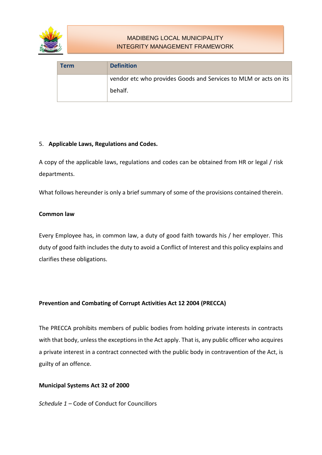

| ∣ Term | <b>Definition</b>                                                |
|--------|------------------------------------------------------------------|
|        | vendor etc who provides Goods and Services to MLM or acts on its |
|        | behalf.                                                          |

# 5. **Applicable Laws, Regulations and Codes.**

A copy of the applicable laws, regulations and codes can be obtained from HR or legal / risk departments.

What follows hereunder is only a brief summary of some of the provisions contained therein.

### **Common law**

Every Employee has, in common law, a duty of good faith towards his / her employer. This duty of good faith includes the duty to avoid a Conflict of Interest and this policy explains and clarifies these obligations.

# **Prevention and Combating of Corrupt Activities Act 12 2004 (PRECCA)**

The PRECCA prohibits members of public bodies from holding private interests in contracts with that body, unless the exceptions in the Act apply. That is, any public officer who acquires a private interest in a contract connected with the public body in contravention of the Act, is guilty of an offence.

#### **Municipal Systems Act 32 of 2000**

*Schedule 1 –* Code of Conduct for Councillors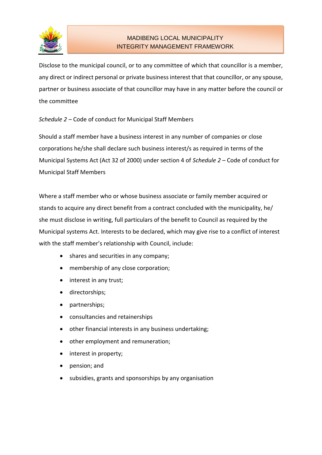

Disclose to the municipal council, or to any committee of which that councillor is a member, any direct or indirect personal or private business interest that that councillor, or any spouse, partner or business associate of that councillor may have in any matter before the council or the committee

# *Schedule 2 –* Code of conduct for Municipal Staff Members

Should a staff member have a business interest in any number of companies or close corporations he/she shall declare such business interest/s as required in terms of the Municipal Systems Act (Act 32 of 2000) under section 4 of *Schedule 2 –* Code of conduct for Municipal Staff Members

Where a staff member who or whose business associate or family member acquired or stands to acquire any direct benefit from a contract concluded with the municipality, he/ she must disclose in writing, full particulars of the benefit to Council as required by the Municipal systems Act. Interests to be declared, which may give rise to a conflict of interest with the staff member's relationship with Council, include:

- shares and securities in any company;
- membership of any close corporation;
- interest in any trust;
- directorships;
- partnerships;
- consultancies and retainerships
- other financial interests in any business undertaking;
- other employment and remuneration;
- interest in property;
- pension; and
- subsidies, grants and sponsorships by any organisation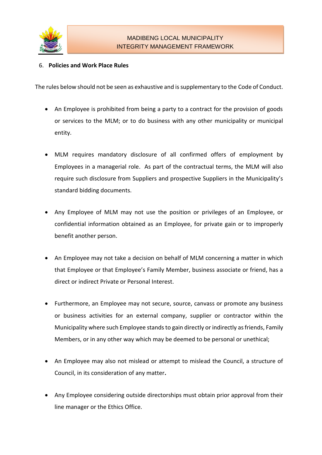

# 6. **Policies and Work Place Rules**

The rules below should not be seen as exhaustive and is supplementary to the Code of Conduct.

- An Employee is prohibited from being a party to a contract for the provision of goods or services to the MLM; or to do business with any other municipality or municipal entity.
- MLM requires mandatory disclosure of all confirmed offers of employment by Employees in a managerial role. As part of the contractual terms, the MLM will also require such disclosure from Suppliers and prospective Suppliers in the Municipality's standard bidding documents.
- Any Employee of MLM may not use the position or privileges of an Employee, or confidential information obtained as an Employee, for private gain or to improperly benefit another person.
- An Employee may not take a decision on behalf of MLM concerning a matter in which that Employee or that Employee's Family Member, business associate or friend, has a direct or indirect Private or Personal Interest.
- Furthermore, an Employee may not secure, source, canvass or promote any business or business activities for an external company, supplier or contractor within the Municipality where such Employee stands to gain directly or indirectly as friends, Family Members, or in any other way which may be deemed to be personal or unethical;
- An Employee may also not mislead or attempt to mislead the Council, a structure of Council, in its consideration of any matter**.**
- Any Employee considering outside directorships must obtain prior approval from their line manager or the Ethics Office.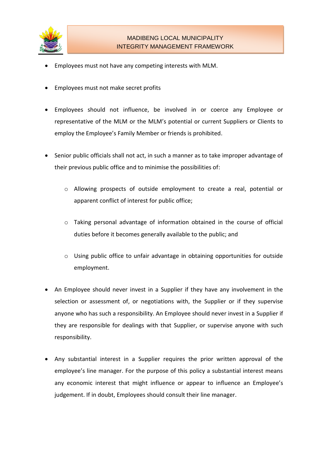

- Employees must not have any competing interests with MLM.
- Employees must not make secret profits
- Employees should not influence, be involved in or coerce any Employee or representative of the MLM or the MLM's potential or current Suppliers or Clients to employ the Employee's Family Member or friends is prohibited.
- Senior public officials shall not act, in such a manner as to take improper advantage of their previous public office and to minimise the possibilities of:
	- o Allowing prospects of outside employment to create a real, potential or apparent conflict of interest for public office;
	- o Taking personal advantage of information obtained in the course of official duties before it becomes generally available to the public; and
	- o Using public office to unfair advantage in obtaining opportunities for outside employment.
- An Employee should never invest in a Supplier if they have any involvement in the selection or assessment of, or negotiations with, the Supplier or if they supervise anyone who has such a responsibility. An Employee should never invest in a Supplier if they are responsible for dealings with that Supplier, or supervise anyone with such responsibility.
- Any substantial interest in a Supplier requires the prior written approval of the employee's line manager. For the purpose of this policy a substantial interest means any economic interest that might influence or appear to influence an Employee's judgement. If in doubt, Employees should consult their line manager.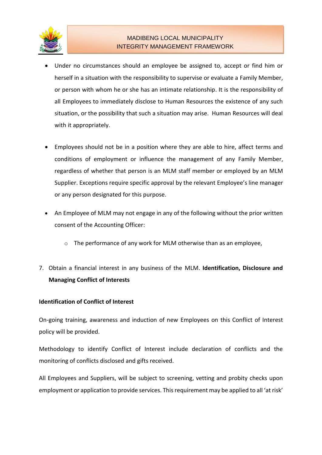

- Under no circumstances should an employee be assigned to, accept or find him or herself in a situation with the responsibility to supervise or evaluate a Family Member, or person with whom he or she has an intimate relationship. It is the responsibility of all Employees to immediately disclose to Human Resources the existence of any such situation, or the possibility that such a situation may arise. Human Resources will deal with it appropriately.
- Employees should not be in a position where they are able to hire, affect terms and conditions of employment or influence the management of any Family Member, regardless of whether that person is an MLM staff member or employed by an MLM Supplier. Exceptions require specific approval by the relevant Employee's line manager or any person designated for this purpose.
- An Employee of MLM may not engage in any of the following without the prior written consent of the Accounting Officer:
	- o The performance of any work for MLM otherwise than as an employee,
- 7. Obtain a financial interest in any business of the MLM. **Identification, Disclosure and Managing Conflict of Interests**

# **Identification of Conflict of Interest**

On-going training, awareness and induction of new Employees on this Conflict of Interest policy will be provided.

Methodology to identify Conflict of Interest include declaration of conflicts and the monitoring of conflicts disclosed and gifts received.

All Employees and Suppliers, will be subject to screening, vetting and probity checks upon employment or application to provide services. This requirement may be applied to all 'at risk'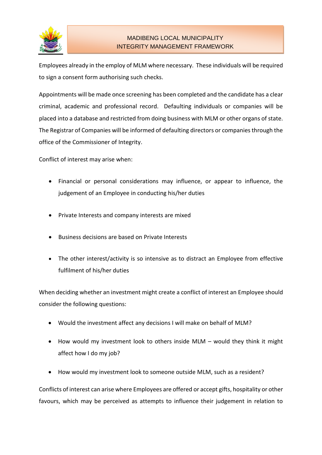

Employees already in the employ of MLM where necessary. These individuals will be required to sign a consent form authorising such checks.

Appointments will be made once screening has been completed and the candidate has a clear criminal, academic and professional record. Defaulting individuals or companies will be placed into a database and restricted from doing business with MLM or other organs of state. The Registrar of Companies will be informed of defaulting directors or companies through the office of the Commissioner of Integrity.

Conflict of interest may arise when:

- Financial or personal considerations may influence, or appear to influence, the judgement of an Employee in conducting his/her duties
- Private Interests and company interests are mixed
- Business decisions are based on Private Interests
- The other interest/activity is so intensive as to distract an Employee from effective fulfilment of his/her duties

When deciding whether an investment might create a conflict of interest an Employee should consider the following questions:

- Would the investment affect any decisions I will make on behalf of MLM?
- How would my investment look to others inside MLM would they think it might affect how I do my job?
- How would my investment look to someone outside MLM, such as a resident?

Conflicts of interest can arise where Employees are offered or accept gifts, hospitality or other favours, which may be perceived as attempts to influence their judgement in relation to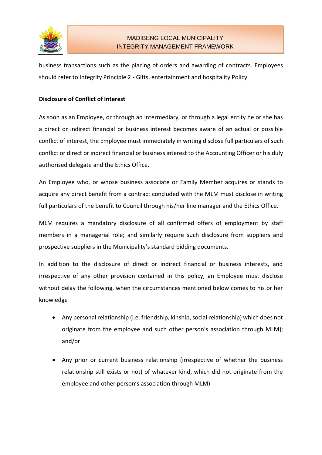

business transactions such as the placing of orders and awarding of contracts. Employees should refer to Integrity Principle 2 - Gifts, entertainment and hospitality Policy.

### **Disclosure of Conflict of Interest**

As soon as an Employee, or through an intermediary, or through a legal entity he or she has a direct or indirect financial or business interest becomes aware of an actual or possible conflict of interest, the Employee must immediately in writing disclose full particulars of such conflict or direct or indirect financial or business interest to the Accounting Officer or his duly authorised delegate and the Ethics Office.

An Employee who, or whose business associate or Family Member acquires or stands to acquire any direct benefit from a contract concluded with the MLM must disclose in writing full particulars of the benefit to Council through his/her line manager and the Ethics Office.

MLM requires a mandatory disclosure of all confirmed offers of employment by staff members in a managerial role; and similarly require such disclosure from suppliers and prospective suppliers in the Municipality's standard bidding documents.

In addition to the disclosure of direct or indirect financial or business interests, and irrespective of any other provision contained in this policy, an Employee must disclose without delay the following, when the circumstances mentioned below comes to his or her knowledge –

- Any personal relationship (i.e. friendship, kinship, social relationship) which does not originate from the employee and such other person's association through MLM); and/or
- Any prior or current business relationship (irrespective of whether the business relationship still exists or not) of whatever kind, which did not originate from the employee and other person's association through MLM) -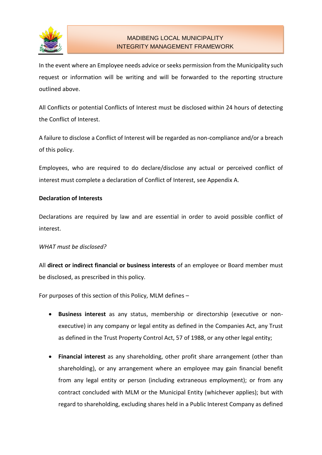

In the event where an Employee needs advice or seeks permission from the Municipality such request or information will be writing and will be forwarded to the reporting structure outlined above.

All Conflicts or potential Conflicts of Interest must be disclosed within 24 hours of detecting the Conflict of Interest.

A failure to disclose a Conflict of Interest will be regarded as non-compliance and/or a breach of this policy.

Employees, who are required to do declare/disclose any actual or perceived conflict of interest must complete a declaration of Conflict of Interest, see Appendix A.

# **Declaration of Interests**

Declarations are required by law and are essential in order to avoid possible conflict of interest.

#### *WHAT must be disclosed?*

All **direct or indirect financial or business interests** of an employee or Board member must be disclosed, as prescribed in this policy.

For purposes of this section of this Policy, MLM defines –

- **Business interest** as any status, membership or directorship (executive or nonexecutive) in any company or legal entity as defined in the Companies Act, any Trust as defined in the Trust Property Control Act, 57 of 1988, or any other legal entity;
- **Financial interest** as any shareholding, other profit share arrangement (other than shareholding), or any arrangement where an employee may gain financial benefit from any legal entity or person (including extraneous employment); or from any contract concluded with MLM or the Municipal Entity (whichever applies); but with regard to shareholding, excluding shares held in a Public Interest Company as defined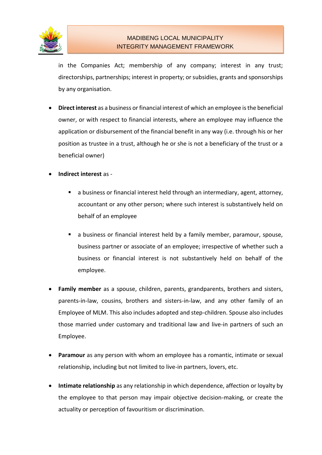

in the Companies Act; membership of any company; interest in any trust; directorships, partnerships; interest in property; or subsidies, grants and sponsorships by any organisation.

- **Direct interest** as a business or financial interest of which an employee is the beneficial owner, or with respect to financial interests, where an employee may influence the application or disbursement of the financial benefit in any way (i.e. through his or her position as trustee in a trust, although he or she is not a beneficiary of the trust or a beneficial owner)
- **Indirect interest** as
	- a business or financial interest held through an intermediary, agent, attorney, accountant or any other person; where such interest is substantively held on behalf of an employee
	- a business or financial interest held by a family member, paramour, spouse, business partner or associate of an employee; irrespective of whether such a business or financial interest is not substantively held on behalf of the employee.
- **Family member** as a spouse, children, parents, grandparents, brothers and sisters, parents-in-law, cousins, brothers and sisters-in-law, and any other family of an Employee of MLM. This also includes adopted and step-children. Spouse also includes those married under customary and traditional law and live-in partners of such an Employee.
- **Paramour** as any person with whom an employee has a romantic, intimate or sexual relationship, including but not limited to live-in partners, lovers, etc.
- **Intimate relationship** as any relationship in which dependence, affection or loyalty by the employee to that person may impair objective decision-making, or create the actuality or perception of favouritism or discrimination.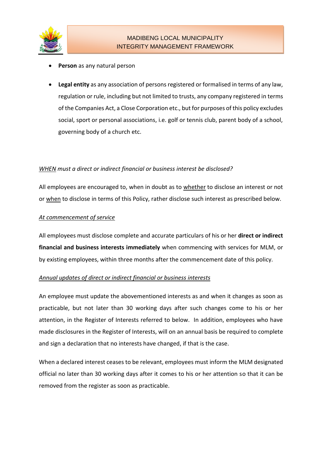

- **Person** as any natural person
- **Legal entity** as any association of persons registered or formalised in terms of any law, regulation or rule, including but not limited to trusts, any company registered in terms of the Companies Act, a Close Corporation etc., but for purposes of this policy excludes social, sport or personal associations, i.e. golf or tennis club, parent body of a school, governing body of a church etc.

### *WHEN must a direct or indirect financial or business interest be disclosed?*

All employees are encouraged to, when in doubt as to whether to disclose an interest or not or when to disclose in terms of this Policy, rather disclose such interest as prescribed below.

#### *At commencement of service*

All employees must disclose complete and accurate particulars of his or her **direct or indirect financial and business interests immediately** when commencing with services for MLM, or by existing employees, within three months after the commencement date of this policy.

#### *Annual updates of direct or indirect financial or business interests*

An employee must update the abovementioned interests as and when it changes as soon as practicable, but not later than 30 working days after such changes come to his or her attention, in the Register of Interests referred to below. In addition, employees who have made disclosures in the Register of Interests, will on an annual basis be required to complete and sign a declaration that no interests have changed, if that is the case.

When a declared interest ceases to be relevant, employees must inform the MLM designated official no later than 30 working days after it comes to his or her attention so that it can be removed from the register as soon as practicable.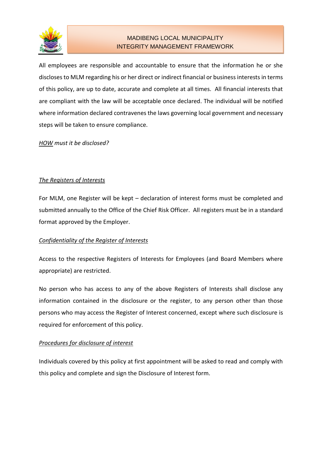

All employees are responsible and accountable to ensure that the information he or she discloses to MLM regarding his or her direct or indirect financial or business interests in terms of this policy, are up to date, accurate and complete at all times. All financial interests that are compliant with the law will be acceptable once declared. The individual will be notified where information declared contravenes the laws governing local government and necessary steps will be taken to ensure compliance.

### *HOW must it be disclosed?*

# *The Registers of Interests*

For MLM, one Register will be kept – declaration of interest forms must be completed and submitted annually to the Office of the Chief Risk Officer. All registers must be in a standard format approved by the Employer.

#### *Confidentiality of the Register of Interests*

Access to the respective Registers of Interests for Employees (and Board Members where appropriate) are restricted.

No person who has access to any of the above Registers of Interests shall disclose any information contained in the disclosure or the register, to any person other than those persons who may access the Register of Interest concerned, except where such disclosure is required for enforcement of this policy.

#### *Procedures for disclosure of interest*

Individuals covered by this policy at first appointment will be asked to read and comply with this policy and complete and sign the Disclosure of Interest form.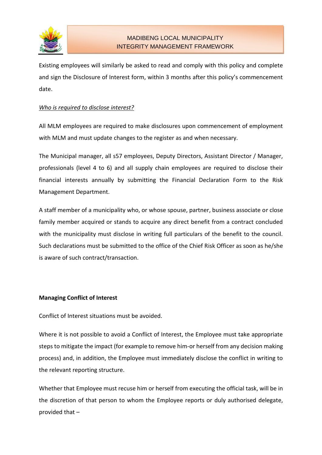

Existing employees will similarly be asked to read and comply with this policy and complete and sign the Disclosure of Interest form, within 3 months after this policy's commencement date.

#### *Who is required to disclose interest?*

All MLM employees are required to make disclosures upon commencement of employment with MLM and must update changes to the register as and when necessary.

The Municipal manager, all s57 employees, Deputy Directors, Assistant Director / Manager, professionals (level 4 to 6) and all supply chain employees are required to disclose their financial interests annually by submitting the Financial Declaration Form to the Risk Management Department.

A staff member of a municipality who, or whose spouse, partner, business associate or close family member acquired or stands to acquire any direct benefit from a contract concluded with the municipality must disclose in writing full particulars of the benefit to the council. Such declarations must be submitted to the office of the Chief Risk Officer as soon as he/she is aware of such contract/transaction.

# **Managing Conflict of Interest**

Conflict of Interest situations must be avoided.

Where it is not possible to avoid a Conflict of Interest, the Employee must take appropriate steps to mitigate the impact (for example to remove him-or herself from any decision making process) and, in addition, the Employee must immediately disclose the conflict in writing to the relevant reporting structure.

Whether that Employee must recuse him or herself from executing the official task, will be in the discretion of that person to whom the Employee reports or duly authorised delegate, provided that –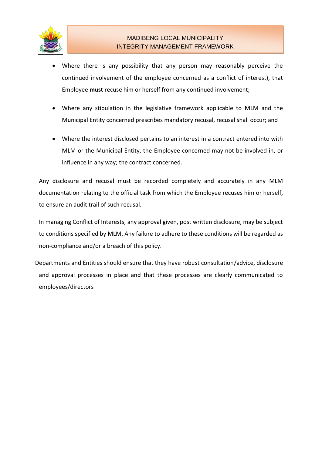

- Where there is any possibility that any person may reasonably perceive the continued involvement of the employee concerned as a conflict of interest), that Employee **must** recuse him or herself from any continued involvement;
- Where any stipulation in the legislative framework applicable to MLM and the Municipal Entity concerned prescribes mandatory recusal, recusal shall occur; and
- Where the interest disclosed pertains to an interest in a contract entered into with MLM or the Municipal Entity, the Employee concerned may not be involved in, or influence in any way; the contract concerned.

Any disclosure and recusal must be recorded completely and accurately in any MLM documentation relating to the official task from which the Employee recuses him or herself, to ensure an audit trail of such recusal.

In managing Conflict of Interests, any approval given, post written disclosure, may be subject to conditions specified by MLM. Any failure to adhere to these conditions will be regarded as non-compliance and/or a breach of this policy.

Departments and Entities should ensure that they have robust consultation/advice, disclosure and approval processes in place and that these processes are clearly communicated to employees/directors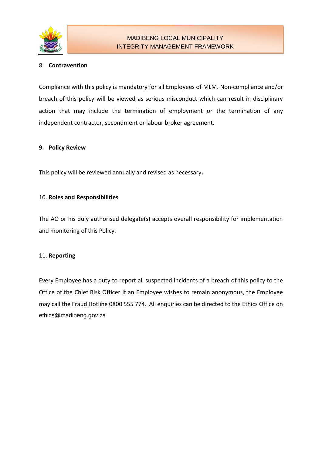

# 8. **Contravention**

Compliance with this policy is mandatory for all Employees of MLM. Non-compliance and/or breach of this policy will be viewed as serious misconduct which can result in disciplinary action that may include the termination of employment or the termination of any independent contractor, secondment or labour broker agreement.

#### 9. **Policy Review**

This policy will be reviewed annually and revised as necessary**.**

### 10. **Roles and Responsibilities**

The AO or his duly authorised delegate(s) accepts overall responsibility for implementation and monitoring of this Policy.

#### 11. **Reporting**

Every Employee has a duty to report all suspected incidents of a breach of this policy to the Office of the Chief Risk Officer If an Employee wishes to remain anonymous, the Employee may call the Fraud Hotline 0800 555 774. All enquiries can be directed to the Ethics Office on ethics@madibeng.gov.za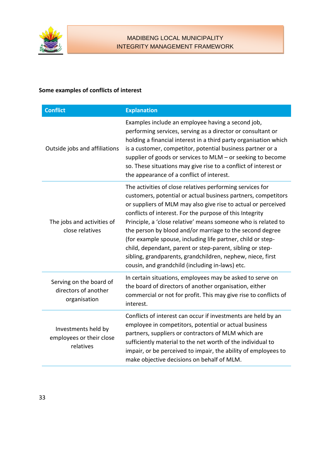

# **Some examples of conflicts of interest**

| <b>Conflict</b>                                                 | <b>Explanation</b>                                                                                                                                                                                                                                                                                                                                                                                                                                                                                                                                                                                                                |
|-----------------------------------------------------------------|-----------------------------------------------------------------------------------------------------------------------------------------------------------------------------------------------------------------------------------------------------------------------------------------------------------------------------------------------------------------------------------------------------------------------------------------------------------------------------------------------------------------------------------------------------------------------------------------------------------------------------------|
| Outside jobs and affiliations                                   | Examples include an employee having a second job,<br>performing services, serving as a director or consultant or<br>holding a financial interest in a third party organisation which<br>is a customer, competitor, potential business partner or a<br>supplier of goods or services to MLM - or seeking to become<br>so. These situations may give rise to a conflict of interest or<br>the appearance of a conflict of interest.                                                                                                                                                                                                 |
| The jobs and activities of<br>close relatives                   | The activities of close relatives performing services for<br>customers, potential or actual business partners, competitors<br>or suppliers of MLM may also give rise to actual or perceived<br>conflicts of interest. For the purpose of this Integrity<br>Principle, a 'close relative' means someone who is related to<br>the person by blood and/or marriage to the second degree<br>(for example spouse, including life partner, child or step-<br>child, dependant, parent or step-parent, sibling or step-<br>sibling, grandparents, grandchildren, nephew, niece, first<br>cousin, and grandchild (including in-laws) etc. |
| Serving on the board of<br>directors of another<br>organisation | In certain situations, employees may be asked to serve on<br>the board of directors of another organisation, either<br>commercial or not for profit. This may give rise to conflicts of<br>interest.                                                                                                                                                                                                                                                                                                                                                                                                                              |
| Investments held by<br>employees or their close<br>relatives    | Conflicts of interest can occur if investments are held by an<br>employee in competitors, potential or actual business<br>partners, suppliers or contractors of MLM which are<br>sufficiently material to the net worth of the individual to<br>impair, or be perceived to impair, the ability of employees to<br>make objective decisions on behalf of MLM.                                                                                                                                                                                                                                                                      |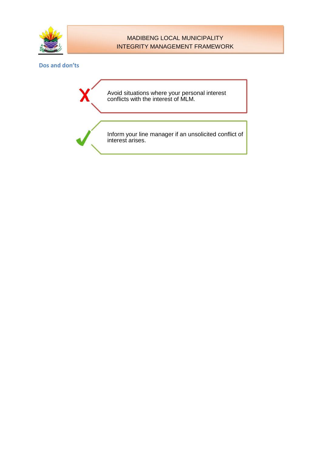

#### **Dos and don'ts**

Avoid situations where your personal interest conflicts with the interest of MLM.

Inform your line manager if an unsolicited conflict of interest arises.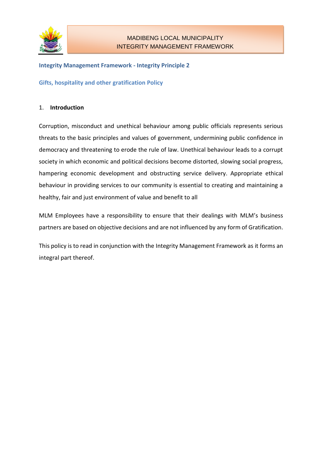

### **Integrity Management Framework - Integrity Principle 2**

**Gifts, hospitality and other gratification Policy**

#### 1. **Introduction**

Corruption, misconduct and unethical behaviour among public officials represents serious threats to the basic principles and values of government, undermining public confidence in democracy and threatening to erode the rule of law. Unethical behaviour leads to a corrupt society in which economic and political decisions become distorted, slowing social progress, hampering economic development and obstructing service delivery. Appropriate ethical behaviour in providing services to our community is essential to creating and maintaining a healthy, fair and just environment of value and benefit to all

MLM Employees have a responsibility to ensure that their dealings with MLM's business partners are based on objective decisions and are not influenced by any form of Gratification.

This policy is to read in conjunction with the Integrity Management Framework as it forms an integral part thereof.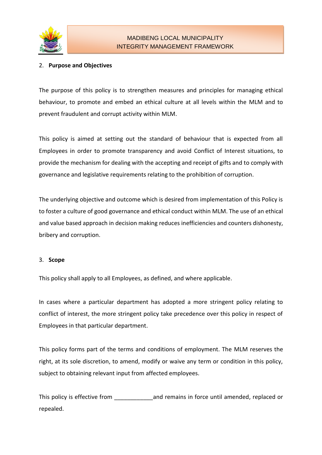

# 2. **Purpose and Objectives**

The purpose of this policy is to strengthen measures and principles for managing ethical behaviour, to promote and embed an ethical culture at all levels within the MLM and to prevent fraudulent and corrupt activity within MLM.

This policy is aimed at setting out the standard of behaviour that is expected from all Employees in order to promote transparency and avoid Conflict of Interest situations, to provide the mechanism for dealing with the accepting and receipt of gifts and to comply with governance and legislative requirements relating to the prohibition of corruption.

The underlying objective and outcome which is desired from implementation of this Policy is to foster a culture of good governance and ethical conduct within MLM. The use of an ethical and value based approach in decision making reduces inefficiencies and counters dishonesty, bribery and corruption.

# 3. **Scope**

This policy shall apply to all Employees, as defined, and where applicable.

In cases where a particular department has adopted a more stringent policy relating to conflict of interest, the more stringent policy take precedence over this policy in respect of Employees in that particular department.

This policy forms part of the terms and conditions of employment. The MLM reserves the right, at its sole discretion, to amend, modify or waive any term or condition in this policy, subject to obtaining relevant input from affected employees.

This policy is effective from \_\_\_\_\_\_\_\_\_\_\_\_and remains in force until amended, replaced or repealed.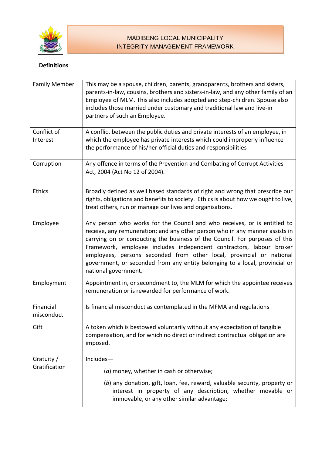

# **Definitions**

| <b>Family Member</b>        | This may be a spouse, children, parents, grandparents, brothers and sisters,<br>parents-in-law, cousins, brothers and sisters-in-law, and any other family of an<br>Employee of MLM. This also includes adopted and step-children. Spouse also<br>includes those married under customary and traditional law and live-in<br>partners of such an Employee.                                                                                                                                     |
|-----------------------------|-----------------------------------------------------------------------------------------------------------------------------------------------------------------------------------------------------------------------------------------------------------------------------------------------------------------------------------------------------------------------------------------------------------------------------------------------------------------------------------------------|
| Conflict of                 | A conflict between the public duties and private interests of an employee, in                                                                                                                                                                                                                                                                                                                                                                                                                 |
| Interest                    | which the employee has private interests which could improperly influence<br>the performance of his/her official duties and responsibilities                                                                                                                                                                                                                                                                                                                                                  |
| Corruption                  | Any offence in terms of the Prevention and Combating of Corrupt Activities<br>Act, 2004 (Act No 12 of 2004).                                                                                                                                                                                                                                                                                                                                                                                  |
| <b>Ethics</b>               | Broadly defined as well based standards of right and wrong that prescribe our<br>rights, obligations and benefits to society. Ethics is about how we ought to live,<br>treat others, run or manage our lives and organisations.                                                                                                                                                                                                                                                               |
| Employee                    | Any person who works for the Council and who receives, or is entitled to<br>receive, any remuneration; and any other person who in any manner assists in<br>carrying on or conducting the business of the Council. For purposes of this<br>Framework, employee includes independent contractors, labour broker<br>employees, persons seconded from other local, provincial or national<br>government, or seconded from any entity belonging to a local, provincial or<br>national government. |
| Employment                  | Appointment in, or secondment to, the MLM for which the appointee receives<br>remuneration or is rewarded for performance of work.                                                                                                                                                                                                                                                                                                                                                            |
| Financial<br>misconduct     | Is financial misconduct as contemplated in the MFMA and regulations                                                                                                                                                                                                                                                                                                                                                                                                                           |
| Gift                        | A token which is bestowed voluntarily without any expectation of tangible<br>compensation, and for which no direct or indirect contractual obligation are<br>imposed.                                                                                                                                                                                                                                                                                                                         |
| Gratuity /<br>Gratification | Includes-                                                                                                                                                                                                                                                                                                                                                                                                                                                                                     |
|                             | (a) money, whether in cash or otherwise;                                                                                                                                                                                                                                                                                                                                                                                                                                                      |
|                             | (b) any donation, gift, loan, fee, reward, valuable security, property or<br>interest in property of any description, whether movable or<br>immovable, or any other similar advantage;                                                                                                                                                                                                                                                                                                        |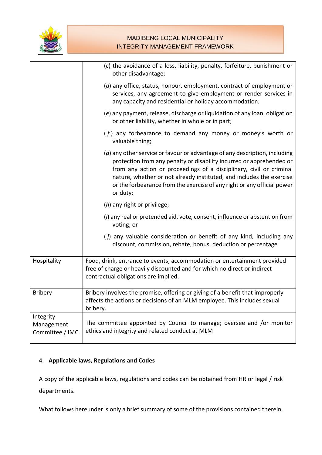

|                                            | (c) the avoidance of a loss, liability, penalty, forfeiture, punishment or<br>other disadvantage;                                                                                                                                                                                                                                                                                        |
|--------------------------------------------|------------------------------------------------------------------------------------------------------------------------------------------------------------------------------------------------------------------------------------------------------------------------------------------------------------------------------------------------------------------------------------------|
|                                            | (d) any office, status, honour, employment, contract of employment or<br>services, any agreement to give employment or render services in<br>any capacity and residential or holiday accommodation;                                                                                                                                                                                      |
|                                            | (e) any payment, release, discharge or liquidation of any loan, obligation<br>or other liability, whether in whole or in part;                                                                                                                                                                                                                                                           |
|                                            | $(f)$ any forbearance to demand any money or money's worth or<br>valuable thing;                                                                                                                                                                                                                                                                                                         |
|                                            | (g) any other service or favour or advantage of any description, including<br>protection from any penalty or disability incurred or apprehended or<br>from any action or proceedings of a disciplinary, civil or criminal<br>nature, whether or not already instituted, and includes the exercise<br>or the forbearance from the exercise of any right or any official power<br>or duty; |
|                                            | (h) any right or privilege;                                                                                                                                                                                                                                                                                                                                                              |
|                                            | (i) any real or pretended aid, vote, consent, influence or abstention from<br>voting; or                                                                                                                                                                                                                                                                                                 |
|                                            | (j) any valuable consideration or benefit of any kind, including any<br>discount, commission, rebate, bonus, deduction or percentage                                                                                                                                                                                                                                                     |
| Hospitality                                | Food, drink, entrance to events, accommodation or entertainment provided<br>free of charge or heavily discounted and for which no direct or indirect<br>contractual obligations are implied.                                                                                                                                                                                             |
| <b>Bribery</b>                             | Bribery involves the promise, offering or giving of a benefit that improperly<br>affects the actions or decisions of an MLM employee. This includes sexual<br>bribery.                                                                                                                                                                                                                   |
| Integrity<br>Management<br>Committee / IMC | The committee appointed by Council to manage; oversee and /or monitor<br>ethics and integrity and related conduct at MLM                                                                                                                                                                                                                                                                 |

# 4. **Applicable laws, Regulations and Codes**

A copy of the applicable laws, regulations and codes can be obtained from HR or legal / risk departments.

What follows hereunder is only a brief summary of some of the provisions contained therein.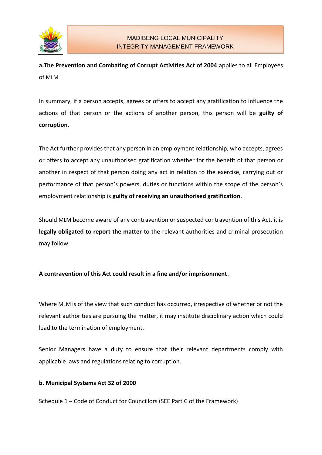

**a.The Prevention and Combating of Corrupt Activities Act of 2004** applies to all Employees of MLM

In summary, if a person accepts, agrees or offers to accept any gratification to influence the actions of that person or the actions of another person, this person will be **guilty of corruption**.

The Act further provides that any person in an employment relationship, who accepts, agrees or offers to accept any unauthorised gratification whether for the benefit of that person or another in respect of that person doing any act in relation to the exercise, carrying out or performance of that person's powers, duties or functions within the scope of the person's employment relationship is **guilty of receiving an unauthorised gratification**.

Should MLM become aware of any contravention or suspected contravention of this Act, it is **legally obligated to report the matter** to the relevant authorities and criminal prosecution may follow.

# **A contravention of this Act could result in a fine and/or imprisonment**.

Where MLM is of the view that such conduct has occurred, irrespective of whether or not the relevant authorities are pursuing the matter, it may institute disciplinary action which could lead to the termination of employment.

Senior Managers have a duty to ensure that their relevant departments comply with applicable laws and regulations relating to corruption.

# **b. Municipal Systems Act 32 of 2000**

Schedule 1 – Code of Conduct for Councillors (SEE Part C of the Framework)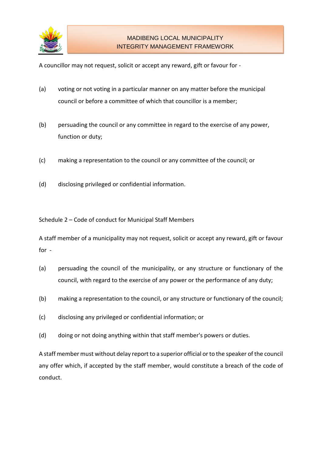

A councillor may not request, solicit or accept any reward, gift or favour for -

- (a) voting or not voting in a particular manner on any matter before the municipal council or before a committee of which that councillor is a member;
- (b) persuading the council or any committee in regard to the exercise of any power, function or duty;
- (c) making a representation to the council or any committee of the council; or
- (d) disclosing privileged or confidential information.

Schedule 2 – Code of conduct for Municipal Staff Members

A staff member of a municipality may not request, solicit or accept any reward, gift or favour for -

- (a) persuading the council of the municipality, or any structure or functionary of the council, with regard to the exercise of any power or the performance of any duty;
- (b) making a representation to the council, or any structure or functionary of the council;
- (c) disclosing any privileged or confidential information; or
- (d) doing or not doing anything within that staff member's powers or duties.

A staff member must without delay report to a superior official or to the speaker of the council any offer which, if accepted by the staff member, would constitute a breach of the code of conduct.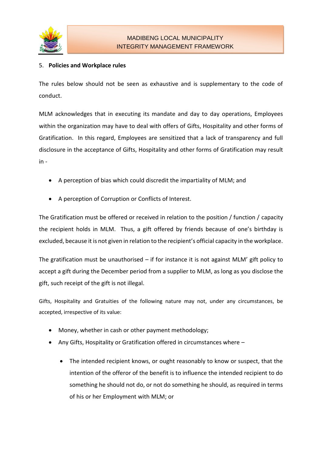

# 5. **Policies and Workplace rules**

The rules below should not be seen as exhaustive and is supplementary to the code of conduct.

MLM acknowledges that in executing its mandate and day to day operations, Employees within the organization may have to deal with offers of Gifts, Hospitality and other forms of Gratification. In this regard, Employees are sensitized that a lack of transparency and full disclosure in the acceptance of Gifts, Hospitality and other forms of Gratification may result in -

- A perception of bias which could discredit the impartiality of MLM; and
- A perception of Corruption or Conflicts of Interest.

The Gratification must be offered or received in relation to the position / function / capacity the recipient holds in MLM. Thus, a gift offered by friends because of one's birthday is excluded, because it is not given in relation to the recipient's official capacity in the workplace.

The gratification must be unauthorised  $-$  if for instance it is not against MLM' gift policy to accept a gift during the December period from a supplier to MLM, as long as you disclose the gift, such receipt of the gift is not illegal.

Gifts, Hospitality and Gratuities of the following nature may not, under any circumstances, be accepted, irrespective of its value:

- Money, whether in cash or other payment methodology;
- Any Gifts, Hospitality or Gratification offered in circumstances where
	- The intended recipient knows, or ought reasonably to know or suspect, that the intention of the offeror of the benefit is to influence the intended recipient to do something he should not do, or not do something he should, as required in terms of his or her Employment with MLM; or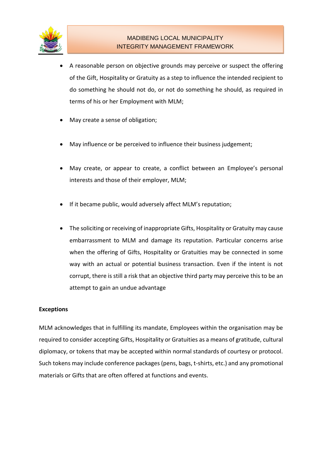

- A reasonable person on objective grounds may perceive or suspect the offering of the Gift, Hospitality or Gratuity as a step to influence the intended recipient to do something he should not do, or not do something he should, as required in terms of his or her Employment with MLM;
- May create a sense of obligation;
- May influence or be perceived to influence their business judgement;
- May create, or appear to create, a conflict between an Employee's personal interests and those of their employer, MLM;
- If it became public, would adversely affect MLM's reputation;
- The soliciting or receiving of inappropriate Gifts, Hospitality or Gratuity may cause embarrassment to MLM and damage its reputation. Particular concerns arise when the offering of Gifts, Hospitality or Gratuities may be connected in some way with an actual or potential business transaction. Even if the intent is not corrupt, there is still a risk that an objective third party may perceive this to be an attempt to gain an undue advantage

#### **Exceptions**

MLM acknowledges that in fulfilling its mandate, Employees within the organisation may be required to consider accepting Gifts, Hospitality or Gratuities as a means of gratitude, cultural diplomacy, or tokens that may be accepted within normal standards of courtesy or protocol. Such tokens may include conference packages (pens, bags, t-shirts, etc.) and any promotional materials or Gifts that are often offered at functions and events.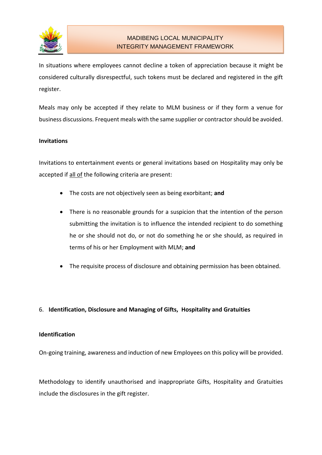

In situations where employees cannot decline a token of appreciation because it might be considered culturally disrespectful, such tokens must be declared and registered in the gift register.

Meals may only be accepted if they relate to MLM business or if they form a venue for business discussions. Frequent meals with the same supplier or contractor should be avoided.

#### **Invitations**

Invitations to entertainment events or general invitations based on Hospitality may only be accepted if all of the following criteria are present:

- The costs are not objectively seen as being exorbitant; **and**
- There is no reasonable grounds for a suspicion that the intention of the person submitting the invitation is to influence the intended recipient to do something he or she should not do, or not do something he or she should, as required in terms of his or her Employment with MLM; **and**
- The requisite process of disclosure and obtaining permission has been obtained.

# 6. **Identification, Disclosure and Managing of Gifts, Hospitality and Gratuities**

#### **Identification**

On-going training, awareness and induction of new Employees on this policy will be provided.

Methodology to identify unauthorised and inappropriate Gifts, Hospitality and Gratuities include the disclosures in the gift register.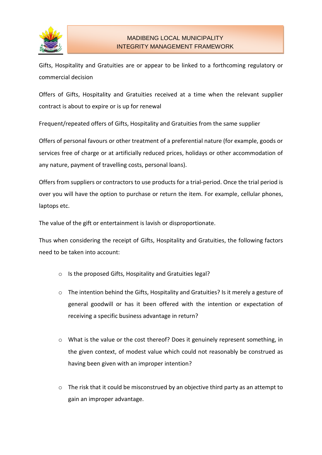

Gifts, Hospitality and Gratuities are or appear to be linked to a forthcoming regulatory or commercial decision

Offers of Gifts, Hospitality and Gratuities received at a time when the relevant supplier contract is about to expire or is up for renewal

Frequent/repeated offers of Gifts, Hospitality and Gratuities from the same supplier

Offers of personal favours or other treatment of a preferential nature (for example, goods or services free of charge or at artificially reduced prices, holidays or other accommodation of any nature, payment of travelling costs, personal loans).

Offers from suppliers or contractors to use products for a trial-period. Once the trial period is over you will have the option to purchase or return the item. For example, cellular phones, laptops etc.

The value of the gift or entertainment is lavish or disproportionate.

Thus when considering the receipt of Gifts, Hospitality and Gratuities, the following factors need to be taken into account:

- o Is the proposed Gifts, Hospitality and Gratuities legal?
- o The intention behind the Gifts, Hospitality and Gratuities? Is it merely a gesture of general goodwill or has it been offered with the intention or expectation of receiving a specific business advantage in return?
- $\circ$  What is the value or the cost thereof? Does it genuinely represent something, in the given context, of modest value which could not reasonably be construed as having been given with an improper intention?
- o The risk that it could be misconstrued by an objective third party as an attempt to gain an improper advantage.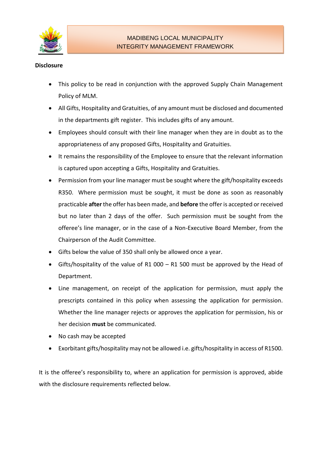

### **Disclosure**

- This policy to be read in conjunction with the approved Supply Chain Management Policy of MLM.
- All Gifts, Hospitality and Gratuities, of any amount must be disclosed and documented in the departments gift register. This includes gifts of any amount.
- Employees should consult with their line manager when they are in doubt as to the appropriateness of any proposed Gifts, Hospitality and Gratuities.
- It remains the responsibility of the Employee to ensure that the relevant information is captured upon accepting a Gifts, Hospitality and Gratuities.
- Permission from your line manager must be sought where the gift/hospitality exceeds R350. Where permission must be sought, it must be done as soon as reasonably practicable **after** the offer has been made, and **before** the offer is accepted or received but no later than 2 days of the offer. Such permission must be sought from the offeree's line manager, or in the case of a Non-Executive Board Member, from the Chairperson of the Audit Committee.
- Gifts below the value of 350 shall only be allowed once a year.
- Gifts/hospitality of the value of R1 000 R1 500 must be approved by the Head of Department.
- Line management, on receipt of the application for permission, must apply the prescripts contained in this policy when assessing the application for permission. Whether the line manager rejects or approves the application for permission, his or her decision **must** be communicated.
- No cash may be accepted
- Exorbitant gifts/hospitality may not be allowed i.e. gifts/hospitality in access of R1500.

It is the offeree's responsibility to, where an application for permission is approved, abide with the disclosure requirements reflected below.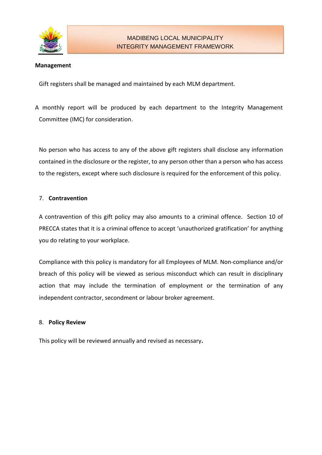

#### **Management**

Gift registers shall be managed and maintained by each MLM department.

A monthly report will be produced by each department to the Integrity Management Committee (IMC) for consideration.

No person who has access to any of the above gift registers shall disclose any information contained in the disclosure or the register, to any person other than a person who has access to the registers, except where such disclosure is required for the enforcement of this policy.

#### 7. **Contravention**

A contravention of this gift policy may also amounts to a criminal offence. Section 10 of PRECCA states that it is a criminal offence to accept 'unauthorized gratification' for anything you do relating to your workplace.

Compliance with this policy is mandatory for all Employees of MLM. Non-compliance and/or breach of this policy will be viewed as serious misconduct which can result in disciplinary action that may include the termination of employment or the termination of any independent contractor, secondment or labour broker agreement.

#### 8. **Policy Review**

This policy will be reviewed annually and revised as necessary**.**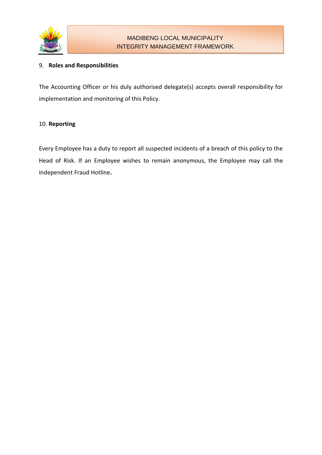

### 9. **Roles and Responsibilities**

The Accounting Officer or his duly authorised delegate(s) accepts overall responsibility for implementation and monitoring of this Policy.

### 10. **Reporting**

Every Employee has a duty to report all suspected incidents of a breach of this policy to the Head of Risk. If an Employee wishes to remain anonymous, the Employee may call the independent Fraud Hotline**.**